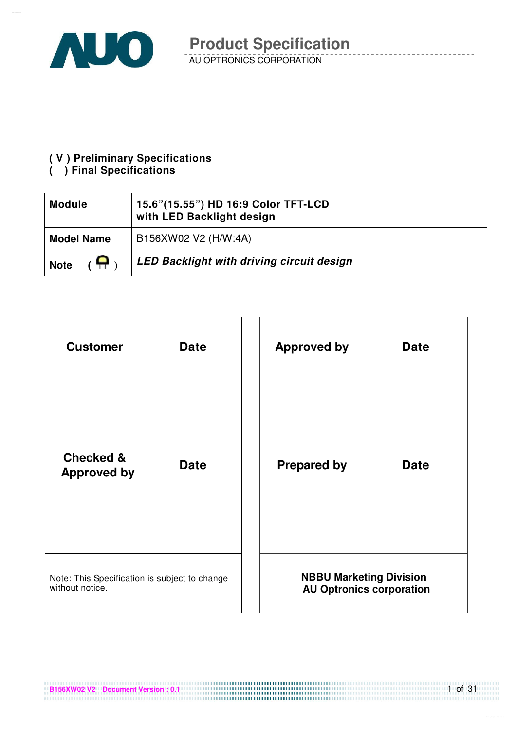

#### **( V ) Preliminary Specifications**

#### **( ) Final Specifications**

| <b>Module</b>     | 15.6"(15.55") HD 16:9 Color TFT-LCD<br>with LED Backlight design |
|-------------------|------------------------------------------------------------------|
| <b>Model Name</b> | B156XW02 V2 (H/W:4A)                                             |
| e<br><b>Note</b>  | LED Backlight with driving circuit design                        |



**B156XW02 V2** Document Version : 0.1

1 of 31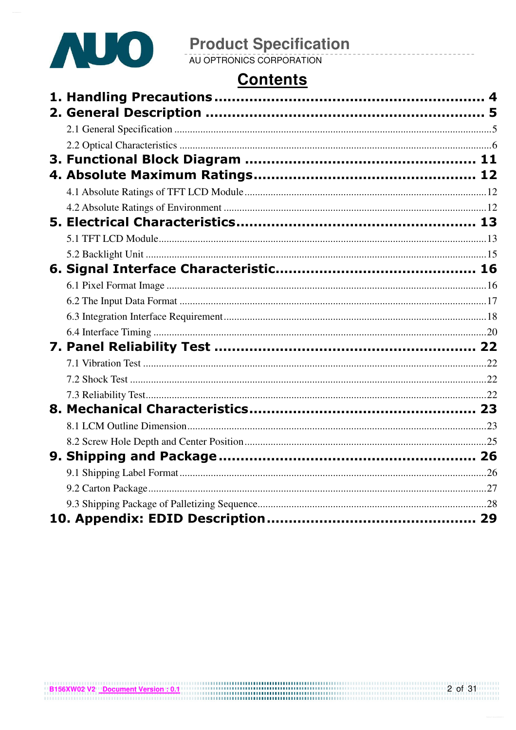

## **Contents**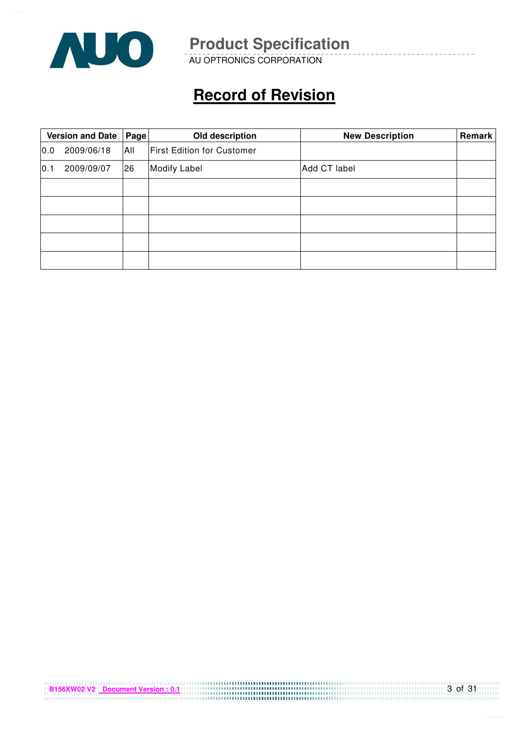

AU OPTRONICS CORPORATION

# **Record of Revision**

|      | <b>Version and Date</b><br>Page |     | Old description                   | <b>New Description</b> | Remark |
|------|---------------------------------|-----|-----------------------------------|------------------------|--------|
| 0.0  | 2009/06/18                      | All | <b>First Edition for Customer</b> |                        |        |
| 10.1 | 2009/09/07                      | 26  | <b>Modify Label</b>               | Add CT label           |        |
|      |                                 |     |                                   |                        |        |
|      |                                 |     |                                   |                        |        |
|      |                                 |     |                                   |                        |        |
|      |                                 |     |                                   |                        |        |
|      |                                 |     |                                   |                        |        |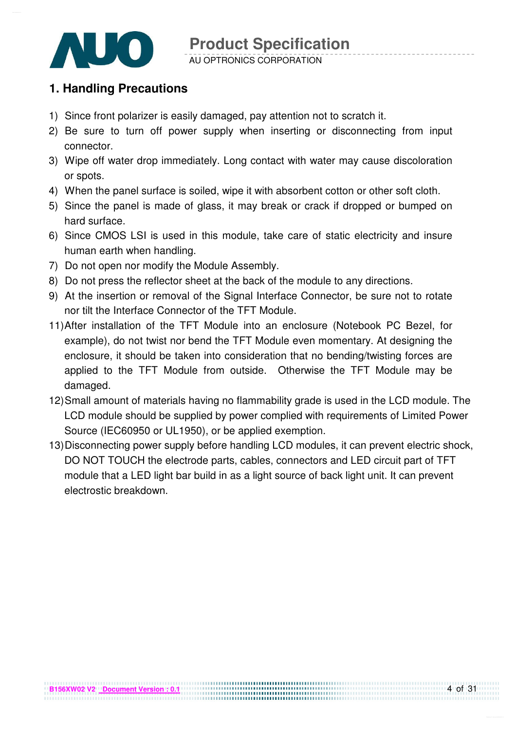

## **1. Handling Precautions**

- 1) Since front polarizer is easily damaged, pay attention not to scratch it.
- 2) Be sure to turn off power supply when inserting or disconnecting from input connector.
- 3) Wipe off water drop immediately. Long contact with water may cause discoloration or spots.
- 4) When the panel surface is soiled, wipe it with absorbent cotton or other soft cloth.
- 5) Since the panel is made of glass, it may break or crack if dropped or bumped on hard surface.
- 6) Since CMOS LSI is used in this module, take care of static electricity and insure human earth when handling.
- 7) Do not open nor modify the Module Assembly.
- 8) Do not press the reflector sheet at the back of the module to any directions.
- 9) At the insertion or removal of the Signal Interface Connector, be sure not to rotate nor tilt the Interface Connector of the TFT Module.
- 11) After installation of the TFT Module into an enclosure (Notebook PC Bezel, for example), do not twist nor bend the TFT Module even momentary. At designing the enclosure, it should be taken into consideration that no bending/twisting forces are applied to the TFT Module from outside. Otherwise the TFT Module may be damaged.
- 12) Small amount of materials having no flammability grade is used in the LCD module. The LCD module should be supplied by power complied with requirements of Limited Power Source (IEC60950 or UL1950), or be applied exemption.
- 13) Disconnecting power supply before handling LCD modules, it can prevent electric shock, DO NOT TOUCH the electrode parts, cables, connectors and LED circuit part of TFT module that a LED light bar build in as a light source of back light unit. It can prevent electrostic breakdown.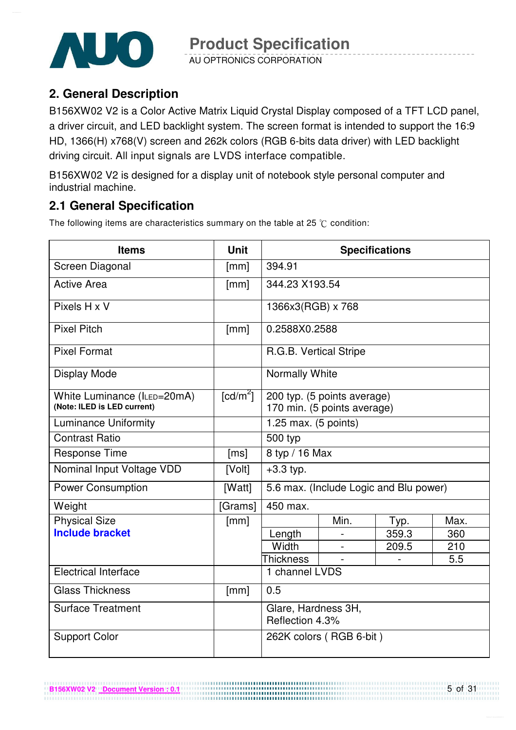

AU OPTRONICS CORPORATION

## **2. General Description**

B156XW02 V2 is a Color Active Matrix Liquid Crystal Display composed of a TFT LCD panel, a driver circuit, and LED backlight system. The screen format is intended to support the 16:9 HD, 1366(H) x768(V) screen and 262k colors (RGB 6-bits data driver) with LED backlight driving circuit. All input signals are LVDS interface compatible.

B156XW02 V2 is designed for a display unit of notebook style personal computer and industrial machine.

## **2.1 General Specification**

The following items are characteristics summary on the table at 25  $\degree$ C condition:

| <b>Items</b><br><b>Unit</b>                                |                        |                                        |                                                            | <b>Specifications</b>                  |      |  |
|------------------------------------------------------------|------------------------|----------------------------------------|------------------------------------------------------------|----------------------------------------|------|--|
| Screen Diagonal                                            | [mm]                   | 394.91                                 |                                                            |                                        |      |  |
| <b>Active Area</b>                                         | [mm]                   | 344.23 X193.54                         |                                                            |                                        |      |  |
| Pixels H x V                                               |                        | 1366x3(RGB) x 768                      |                                                            |                                        |      |  |
| <b>Pixel Pitch</b>                                         | [mm]                   | 0.2588X0.2588                          |                                                            |                                        |      |  |
| <b>Pixel Format</b>                                        |                        | R.G.B. Vertical Stripe                 |                                                            |                                        |      |  |
| Display Mode                                               |                        | Normally White                         |                                                            |                                        |      |  |
| White Luminance (ILED=20mA)<br>(Note: ILED is LED current) | $\lceil cd/m^2 \rceil$ |                                        | 200 typ. (5 points average)<br>170 min. (5 points average) |                                        |      |  |
| <b>Luminance Uniformity</b>                                |                        | 1.25 max. (5 points)                   |                                                            |                                        |      |  |
| <b>Contrast Ratio</b>                                      |                        | 500 typ                                |                                                            |                                        |      |  |
| <b>Response Time</b>                                       | [ms]                   | 8 typ / 16 Max                         |                                                            |                                        |      |  |
| Nominal Input Voltage VDD                                  | [Volt]                 | $+3.3$ typ.                            |                                                            |                                        |      |  |
| <b>Power Consumption</b>                                   | [Watt]                 |                                        |                                                            | 5.6 max. (Include Logic and Blu power) |      |  |
| Weight                                                     | [Grams]                | 450 max.                               |                                                            |                                        |      |  |
| <b>Physical Size</b>                                       | [mm]                   |                                        | Min.                                                       | Typ.                                   | Max. |  |
| <b>Include bracket</b>                                     |                        | Length                                 |                                                            | 359.3                                  | 360  |  |
|                                                            |                        | Width                                  |                                                            | 209.5                                  | 210  |  |
|                                                            |                        | <b>Thickness</b>                       |                                                            |                                        | 5.5  |  |
| <b>Electrical Interface</b>                                |                        | 1 channel LVDS                         |                                                            |                                        |      |  |
| <b>Glass Thickness</b>                                     | [mm]                   | 0.5                                    |                                                            |                                        |      |  |
| <b>Surface Treatment</b>                                   |                        | Glare, Hardness 3H,<br>Reflection 4.3% |                                                            |                                        |      |  |
| <b>Support Color</b>                                       |                        |                                        | 262K colors (RGB 6-bit)                                    |                                        |      |  |

................................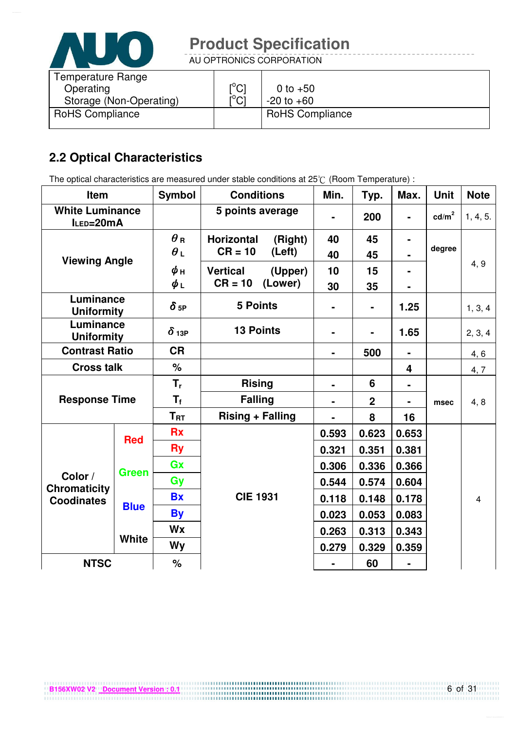

AU OPTRONICS CORPORATION

| Temperature Range<br>Operating<br>Storage (Non-Operating) | $\mathsf{I}^\circ\mathsf{Cl}$<br>$\mathsf{I}^\circ\mathsf{Cl}$ | 0 to $+50$<br>$-20$ to $+60$ |
|-----------------------------------------------------------|----------------------------------------------------------------|------------------------------|
| <b>RoHS Compliance</b>                                    |                                                                | <b>RoHS Compliance</b>       |

## **2.2 Optical Characteristics**

The optical characteristics are measured under stable conditions at 25°C (Room Temperature) :

| Item                                |              | <b>Symbol</b>          | <b>Conditions</b>            | Min.           | Typ.           | Max.           | <b>Unit</b>       | <b>Note</b>    |
|-------------------------------------|--------------|------------------------|------------------------------|----------------|----------------|----------------|-------------------|----------------|
| <b>White Luminance</b><br>ILED=20mA |              |                        | 5 points average             |                | 200            | $\blacksquare$ | cd/m <sup>2</sup> | 1, 4, 5.       |
|                                     |              | $\theta$ R             | <b>Horizontal</b><br>(Right) | 40             | 45             |                |                   |                |
| <b>Viewing Angle</b>                |              | $\theta$ L             | $CR = 10$<br>(Left)          |                | 45             |                | degree            |                |
|                                     |              | ψн                     | <b>Vertical</b><br>(Upper)   | 10             | 15             |                |                   | 4, 9           |
|                                     |              | $\phi_L$               | $CR = 10$<br>(Lower)         | 30             | 35             |                |                   |                |
| Luminance<br><b>Uniformity</b>      |              | $\delta$ <sub>5P</sub> | <b>5 Points</b>              |                | $\blacksquare$ | 1.25           |                   | 1, 3, 4        |
| Luminance<br><b>Uniformity</b>      |              | $\delta$ 13P           | <b>13 Points</b>             |                | $\blacksquare$ | 1.65           |                   | 2, 3, 4        |
| <b>Contrast Ratio</b>               |              | <b>CR</b>              |                              | $\blacksquare$ | 500            | $\blacksquare$ |                   | 4, 6           |
| <b>Cross talk</b>                   |              | %                      |                              |                |                | 4              |                   | 4, 7           |
| <b>Response Time</b>                |              | $T_{r}$                | <b>Rising</b>                | ۰              | 6              | $\blacksquare$ |                   |                |
|                                     |              | $T_{\rm f}$            | <b>Falling</b>               | $\blacksquare$ | $\overline{2}$ |                | msec              | 4, 8           |
|                                     |              | $T_{\rm RT}$           | <b>Rising + Falling</b>      |                | 8              | 16             |                   |                |
| <b>Red</b>                          |              | <b>Rx</b>              |                              | 0.593          | 0.623          | 0.653          |                   |                |
|                                     |              | <b>Ry</b>              |                              | 0.321          | 0.351          | 0.381          |                   |                |
|                                     | <b>Green</b> | Gx                     |                              | 0.306          | 0.336          | 0.366          |                   |                |
| Color /<br><b>Chromaticity</b>      |              | Gy                     |                              | 0.544          | 0.574          | 0.604          |                   |                |
| <b>Coodinates</b>                   |              | <b>Bx</b>              | <b>CIE 1931</b>              | 0.118          | 0.148          | 0.178          |                   | $\overline{4}$ |
|                                     | <b>Blue</b>  | <b>By</b>              |                              | 0.023          | 0.053          | 0.083          |                   |                |
|                                     |              | Wx                     |                              | 0.263          | 0.313          | 0.343          |                   |                |
|                                     | <b>White</b> | <b>Wy</b>              |                              | 0.279          | 0.329          | 0.359          |                   |                |
| <b>NTSC</b>                         |              | $\%$                   |                              |                | 60             |                |                   |                |

6 of 31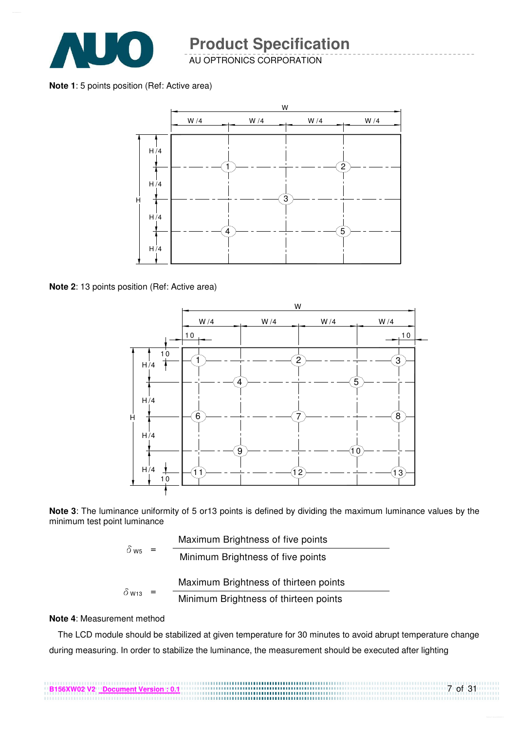

AU OPTRONICS CORPORATION

**Note 1**: 5 points position (Ref: Active area)



**Note 2**: 13 points position (Ref: Active area)



**Note 3**: The luminance uniformity of 5 or13 points is defined by dividing the maximum luminance values by the minimum test point luminance

|                         | Maximum Brightness of five points     |
|-------------------------|---------------------------------------|
| $\delta$ W <sub>5</sub> | Minimum Brightness of five points     |
|                         | Maximum Brightness of thirteen points |
| $\delta$ W13            | Minimum Brightness of thirteen points |

#### **Note 4**: Measurement method

The LCD module should be stabilized at given temperature for 30 minutes to avoid abrupt temperature change during measuring. In order to stabilize the luminance, the measurement should be executed after lighting

7 of 31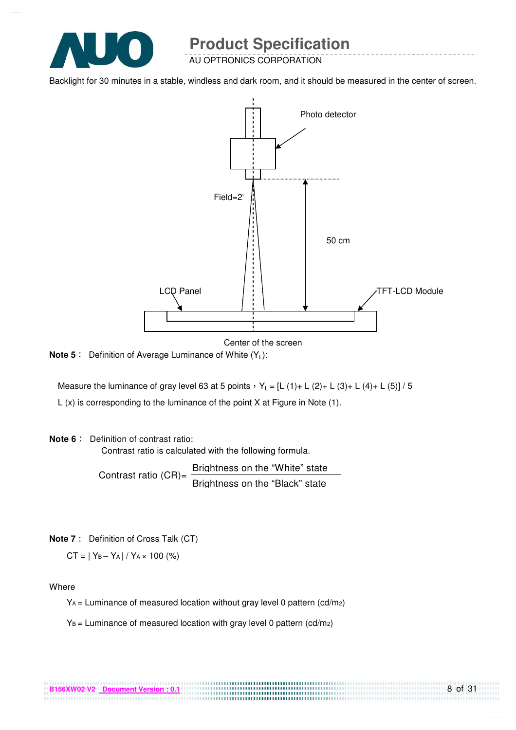

AU OPTRONICS CORPORATION

Backlight for 30 minutes in a stable, windless and dark room, and it should be measured in the center of screen.



Center of the screen

**Note 5** : Definition of Average Luminance of White (Y<sub>L</sub>):

Measure the luminance of gray level 63 at 5 points  $Y_L = [L (1) + L (2) + L (3) + L (4) + L (5)] / 5$ L (x) is corresponding to the luminance of the point X at Figure in Note (1).

#### **Note 6** : Definition of contrast ratio:

Contrast ratio is calculated with the following formula.

Contrast ratio  $(CR)$ = Brightness on the "White" state Brightness on the "Black" state

**Note 7** : Definition of Cross Talk (CT)

 $CT = |Y_B - Y_A| / Y_A \times 100$  (%)

Where

 $Y_A$  = Luminance of measured location without gray level 0 pattern (cd/m<sub>2</sub>)

................................

 $Y_B =$  Luminance of measured location with gray level 0 pattern (cd/m2)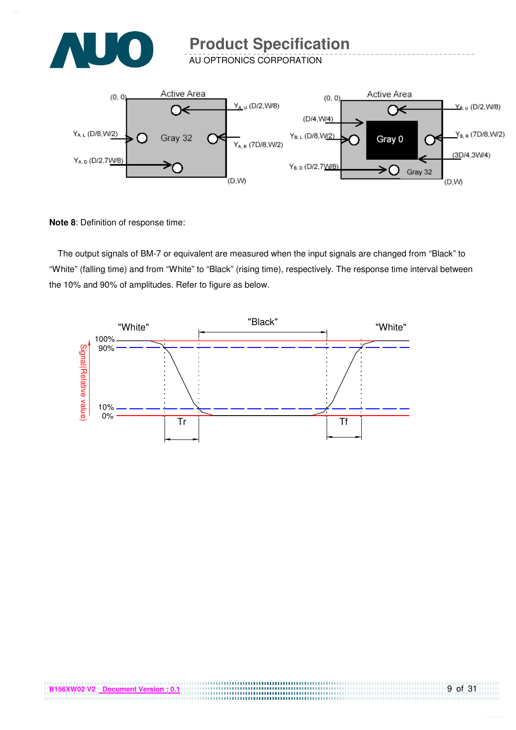

AU OPTRONICS CORPORATION



**Note 8**: Definition of response time:

The output signals of BM-7 or equivalent are measured when the input signals are changed from "Black" to "White" (falling time) and from "White" to "Black" (rising time), respectively. The response time interval between the 10% and 90% of amplitudes. Refer to figure as below.



,,,,,,,,,,,,,,,,,,,,,,,,,,,,,,,,,,,,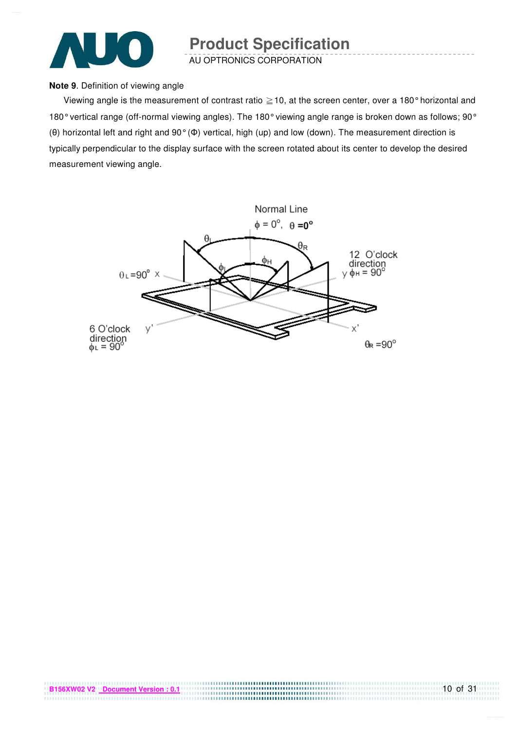

AU OPTRONICS CORPORATION

#### **Note 9**. Definition of viewing angle

Viewing angle is the measurement of contrast ratio  $\geq$  10, at the screen center, over a 180° horizontal and 180° vertical range (off-normal viewing angles). The 180° viewing angle range is broken down as follows; 90° (θ) horizontal left and right and 90° (Φ) vertical, high (up) and low (down). The measurement direction is typically perpendicular to the display surface with the screen rotated about its center to develop the desired measurement viewing angle.

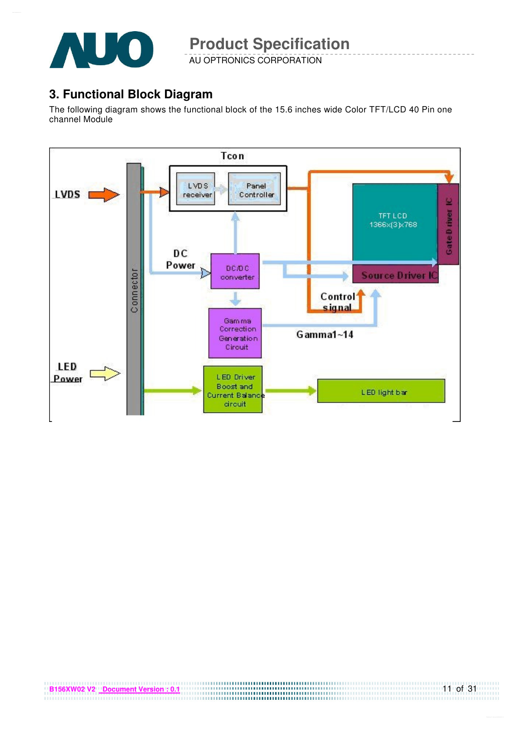

AU OPTRONICS CORPORATION

## **3. Functional Block Diagram**

The following diagram shows the functional block of the 15.6 inches wide Color TFT/LCD 40 Pin one channel Module

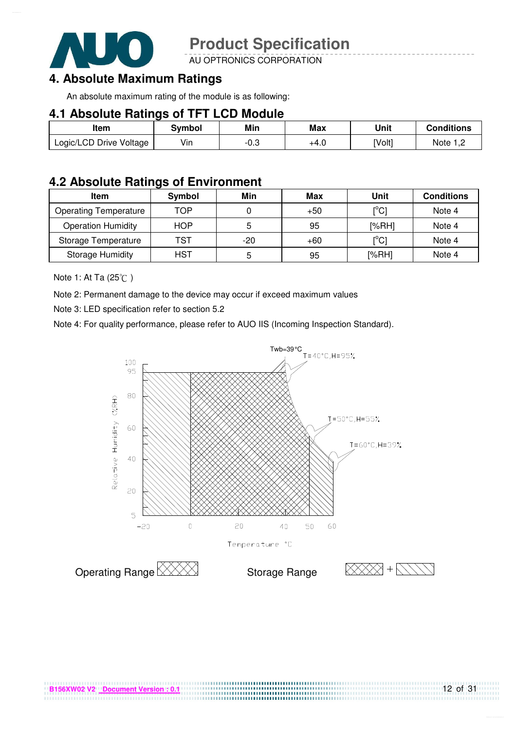

AU OPTRONICS CORPORATION

## **4. Absolute Maximum Ratings**

An absolute maximum rating of the module is as following:

#### **4.1 Absolute Ratings of TFT LCD Module**

| Item                    | <b>Symbol</b> | Min  | <b>Max</b> | Unit   | <b>Conditions</b> |
|-------------------------|---------------|------|------------|--------|-------------------|
| Logic/LCD Drive Voltage | Vin           | -0.3 | +4.U       | [Volt] | Note $1,2$        |

#### **4.2 Absolute Ratings of Environment**

| <b>Item</b>                  | Symbol     | Min   | Max   | Unit                         | <b>Conditions</b> |
|------------------------------|------------|-------|-------|------------------------------|-------------------|
| <b>Operating Temperature</b> | TOP        |       | $+50$ | [°C]                         | Note 4            |
| <b>Operation Humidity</b>    | <b>HOP</b> |       | 95    | [%RH]                        | Note 4            |
| Storage Temperature          | TST        | $-20$ | $+60$ | $\mathsf{I}^\circ\mathsf{C}$ | Note 4            |
| <b>Storage Humidity</b>      | <b>HST</b> | b     | 95    | [%RH]                        | Note 4            |

Note 1: At Ta (25°C)

Note 2: Permanent damage to the device may occur if exceed maximum values

Note 3: LED specification refer to section 5.2

Note 4: For quality performance, please refer to AUO IIS (Incoming Inspection Standard).



....................................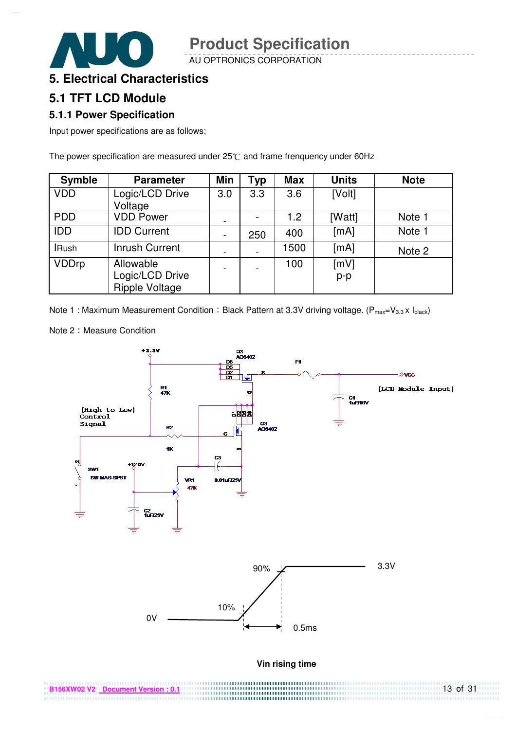AU OPTRONICS CORPORATION

#### **5. Electrical Characteristics**

#### **5.1 TFT LCD Module**

#### **5.1.1 Power Specification**

Input power specifications are as follows;

The power specification are measured under  $25^{\circ}$ C and frame frenquency under 60Hz

| <b>Symble</b> | <b>Parameter</b>                                      | Min  | <b>Typ</b> | <b>Max</b> | <b>Units</b>  | <b>Note</b> |
|---------------|-------------------------------------------------------|------|------------|------------|---------------|-------------|
| <b>VDD</b>    | Logic/LCD Drive<br>Voltage                            | 3.0  | 3.3        | 3.6        | [Volt]        |             |
| <b>PDD</b>    | <b>VDD Power</b>                                      | $\,$ |            | 1.2        | [Watt]        | Note 1      |
| IDD           | <b>IDD Current</b>                                    |      | 250        | 400        | [mA]          | Note 1      |
| <b>IRush</b>  | <b>Inrush Current</b>                                 |      |            | 1500       | [mA]          | Note 2      |
| <b>VDDrp</b>  | Allowable<br>Logic/LCD Drive<br><b>Ripple Voltage</b> |      |            | 100        | [mV]<br>$p-p$ |             |

Note 1 : Maximum Measurement Condition : Black Pattern at 3.3V driving voltage. ( $P_{max}=V_{3.3} \times I_{black}$ )



Note 2: Measure Condition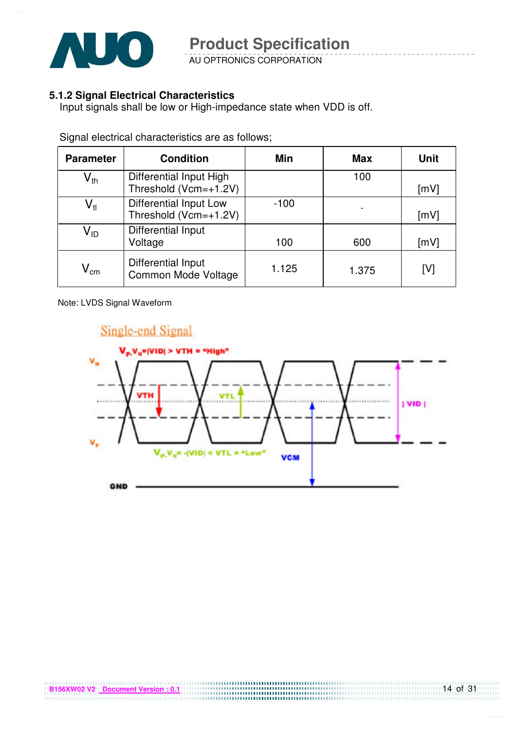

AU OPTRONICS CORPORATION

#### **5.1.2 Signal Electrical Characteristics**

Input signals shall be low or High-impedance state when VDD is off.

| <b>Parameter</b>           | <b>Condition</b>                                    | Min    | <b>Max</b> | Unit |
|----------------------------|-----------------------------------------------------|--------|------------|------|
| $\mathsf{V}_{\mathsf{th}}$ | Differential Input High<br>Threshold (Vcm=+1.2V)    |        | 100        | [mV] |
| $\mathsf{V}_{\mathsf{tl}}$ | Differential Input Low<br>Threshold ( $Vcm=+1.2V$ ) | $-100$ |            | [mV] |
| $\mathsf{V}_{\mathsf{ID}}$ | Differential Input<br>Voltage                       | 100    | 600        | [mV] |
| $V_{\text{cm}}$            | Differential Input<br>Common Mode Voltage           | 1.125  | 1.375      | [V]  |

Signal electrical characteristics are as follows;

Note: LVDS Signal Waveform

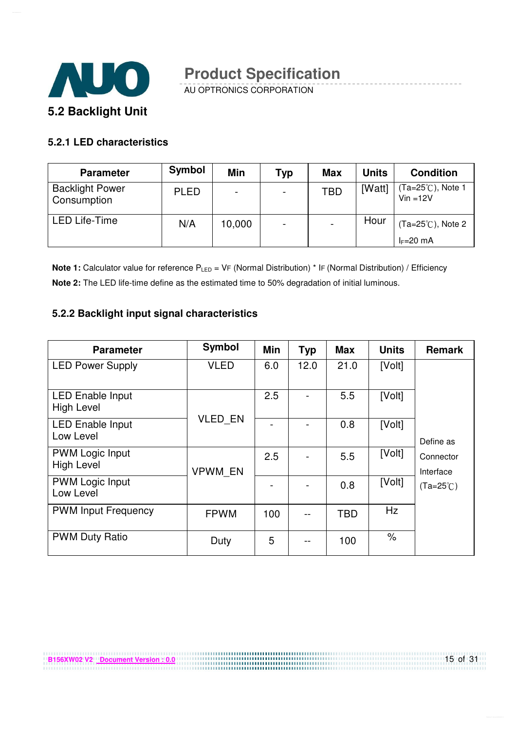

AU OPTRONICS CORPORATION

#### **5.2.1 LED characteristics**

| <b>Parameter</b>                      | <b>Symbol</b> | Min                      | Typ                      | <b>Max</b> | <b>Units</b> | <b>Condition</b>                 |
|---------------------------------------|---------------|--------------------------|--------------------------|------------|--------------|----------------------------------|
| <b>Backlight Power</b><br>Consumption | <b>PLED</b>   | $\overline{\phantom{0}}$ | $\overline{\phantom{0}}$ | <b>TBD</b> | [Watt]       | (Ta=25℃), Note 1<br>$Vin = 12V$  |
| <b>LED Life-Time</b>                  | N/A           | 10,000                   | $\overline{\phantom{0}}$ |            | Hour         | (Ta=25°C), Note 2<br>$I_F=20$ mA |

**Note 1:** Calculator value for reference P<sub>LED</sub> = VF (Normal Distribution) \* IF (Normal Distribution) / Efficiency **Note 2:** The LED life-time define as the estimated time to 50% degradation of initial luminous.

#### **5.2.2 Backlight input signal characteristics**

**B156XW02 V2** Document Version : 0.0

| <b>Parameter</b>                             | Symbol         | Min | <b>Typ</b> | <b>Max</b> | <b>Units</b> | <b>Remark</b>          |
|----------------------------------------------|----------------|-----|------------|------------|--------------|------------------------|
| <b>LED Power Supply</b>                      | <b>VLED</b>    | 6.0 | 12.0       | 21.0       | [Volt]       |                        |
| <b>LED Enable Input</b><br><b>High Level</b> |                | 2.5 |            | 5.5        | [Volt]       |                        |
| <b>LED Enable Input</b><br>Low Level         | <b>VLED EN</b> |     |            | 0.8        | [Volt]       | Define as              |
| <b>PWM Logic Input</b><br><b>High Level</b>  | VPWM EN        | 2.5 |            | 5.5        | [Volt]       | Connector<br>Interface |
| <b>PWM Logic Input</b><br>Low Level          |                |     |            | 0.8        | [Volt]       | $(Ta=25^{\circ}C)$     |
| <b>PWM Input Frequency</b>                   | <b>FPWM</b>    | 100 | --         | <b>TBD</b> | Hz           |                        |
| <b>PWM Duty Ratio</b>                        | Duty           | 5   |            | 100        | $\%$         |                        |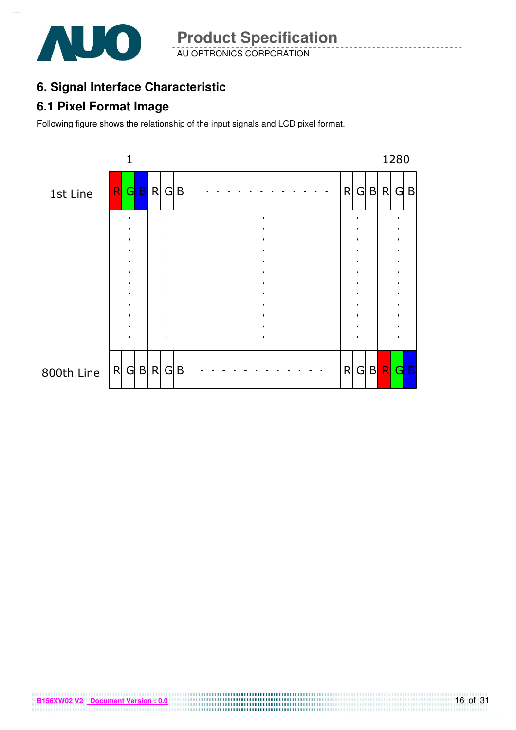

AU OPTRONICS CORPORATION **Product Specification** 

## **6. Signal Interface Characteristic**

#### **6.1 Pixel Format Image**

Following figure shows the relationship of the input signals and LCD pixel format.

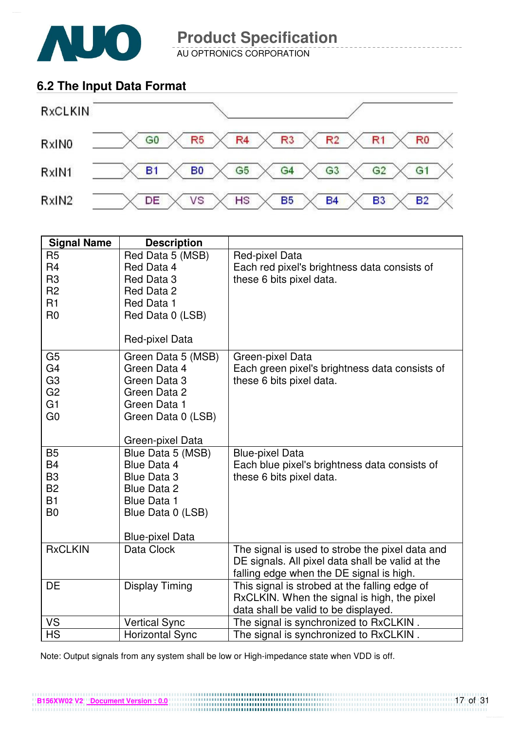

AU OPTRONICS CORPORATION

## **6.2 The Input Data Format**



| <b>Signal Name</b>                                                                                       | <b>Description</b>                                                                                                                  |                                                                                                                                                 |
|----------------------------------------------------------------------------------------------------------|-------------------------------------------------------------------------------------------------------------------------------------|-------------------------------------------------------------------------------------------------------------------------------------------------|
| R <sub>5</sub><br>R <sub>4</sub><br>R <sub>3</sub><br>R <sub>2</sub><br>R1<br>R <sub>0</sub>             | Red Data 5 (MSB)<br>Red Data 4<br>Red Data 3<br>Red Data 2<br>Red Data 1<br>Red Data 0 (LSB)<br>Red-pixel Data                      | Red-pixel Data<br>Each red pixel's brightness data consists of<br>these 6 bits pixel data.                                                      |
| G <sub>5</sub><br>G <sub>4</sub><br>G <sub>3</sub><br>G <sub>2</sub><br>G <sub>1</sub><br>G <sub>0</sub> | Green Data 5 (MSB)<br>Green Data 4<br>Green Data 3<br>Green Data 2<br>Green Data 1<br>Green Data 0 (LSB)<br>Green-pixel Data        | Green-pixel Data<br>Each green pixel's brightness data consists of<br>these 6 bits pixel data.                                                  |
| <b>B5</b><br><b>B4</b><br>B <sub>3</sub><br><b>B2</b><br><b>B1</b><br>B <sub>0</sub>                     | Blue Data 5 (MSB)<br>Blue Data 4<br>Blue Data 3<br>Blue Data 2<br><b>Blue Data 1</b><br>Blue Data 0 (LSB)<br><b>Blue-pixel Data</b> | <b>Blue-pixel Data</b><br>Each blue pixel's brightness data consists of<br>these 6 bits pixel data.                                             |
| <b>RxCLKIN</b>                                                                                           | Data Clock                                                                                                                          | The signal is used to strobe the pixel data and<br>DE signals. All pixel data shall be valid at the<br>falling edge when the DE signal is high. |
| DE                                                                                                       | <b>Display Timing</b>                                                                                                               | This signal is strobed at the falling edge of<br>RxCLKIN. When the signal is high, the pixel<br>data shall be valid to be displayed.            |
| VS                                                                                                       | <b>Vertical Sync</b>                                                                                                                | The signal is synchronized to RxCLKIN.                                                                                                          |
| <b>HS</b>                                                                                                | <b>Horizontal Sync</b>                                                                                                              | The signal is synchronized to RxCLKIN.                                                                                                          |

Note: Output signals from any system shall be low or High-impedance state when VDD is off.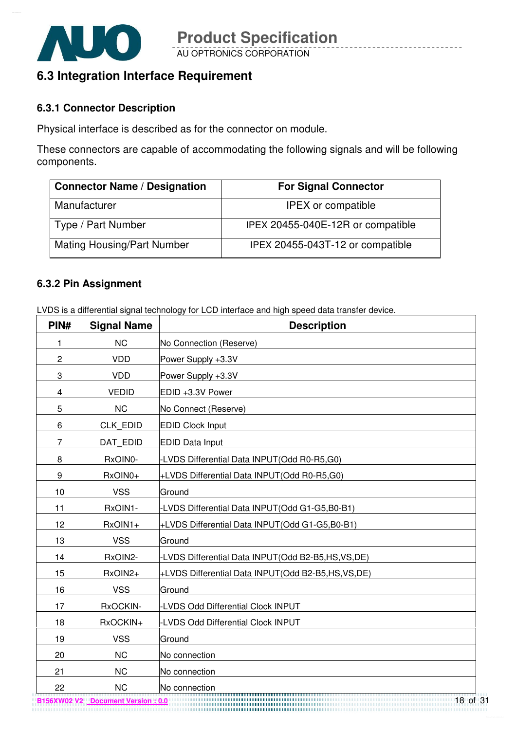

## **6.3 Integration Interface Requirement**

#### **6.3.1 Connector Description**

Physical interface is described as for the connector on module.

These connectors are capable of accommodating the following signals and will be following components.

| <b>Connector Name / Designation</b> | <b>For Signal Connector</b>       |
|-------------------------------------|-----------------------------------|
| Manufacturer                        | <b>IPEX</b> or compatible         |
| Type / Part Number                  | IPEX 20455-040E-12R or compatible |
| <b>Mating Housing/Part Number</b>   | IPEX 20455-043T-12 or compatible  |

#### **6.3.2 Pin Assignment**

LVDS is a differential signal technology for LCD interface and high speed data transfer device.

| PIN#           | <b>Signal Name</b> | <b>Description</b>                                  |
|----------------|--------------------|-----------------------------------------------------|
| 1              | <b>NC</b>          | No Connection (Reserve)                             |
| $\overline{c}$ | <b>VDD</b>         | Power Supply +3.3V                                  |
| 3              | <b>VDD</b>         | Power Supply +3.3V                                  |
| 4              | <b>VEDID</b>       | EDID +3.3V Power                                    |
| 5              | <b>NC</b>          | No Connect (Reserve)                                |
| 6              | <b>CLK EDID</b>    | <b>EDID Clock Input</b>                             |
| $\overline{7}$ | DAT_EDID           | <b>EDID Data Input</b>                              |
| 8              | RxOIN0-            | -LVDS Differential Data INPUT(Odd R0-R5,G0)         |
| 9              | RxOIN0+            | +LVDS Differential Data INPUT(Odd R0-R5,G0)         |
| 10             | <b>VSS</b>         | Ground                                              |
| 11             | RxOIN1-            | -LVDS Differential Data INPUT(Odd G1-G5,B0-B1)      |
| 12             | RxOIN1+            | +LVDS Differential Data INPUT(Odd G1-G5,B0-B1)      |
| 13             | <b>VSS</b>         | Ground                                              |
| 14             | RxOIN2-            | -LVDS Differential Data INPUT(Odd B2-B5,HS,VS,DE)   |
| 15             | RxOIN2+            | +LVDS Differential Data INPUT(Odd B2-B5,HS, VS, DE) |
| 16             | <b>VSS</b>         | Ground                                              |
| 17             | RxOCKIN-           | -LVDS Odd Differential Clock INPUT                  |
| 18             | RxOCKIN+           | -LVDS Odd Differential Clock INPUT                  |
| 19             | <b>VSS</b>         | Ground                                              |
| 20             | <b>NC</b>          | No connection                                       |
| 21             | <b>NC</b>          | No connection                                       |
| 22             | <b>NC</b>          | No connection                                       |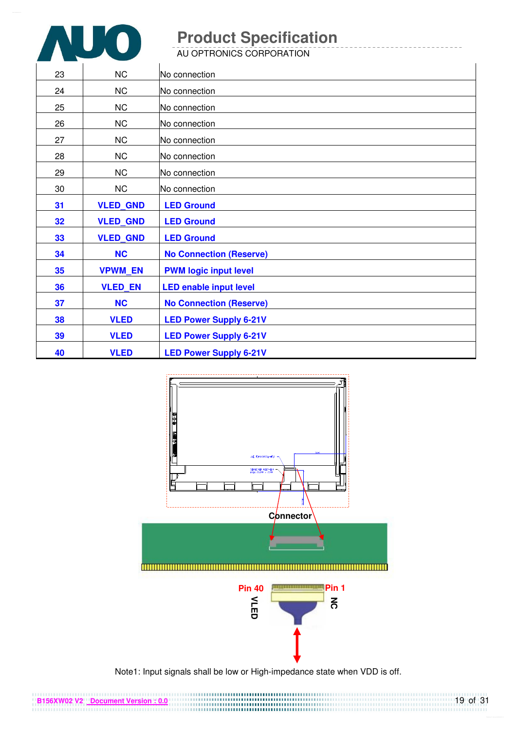

AU OPTRONICS CORPORATION

| 23 | <b>NC</b>       | No connection                  |
|----|-----------------|--------------------------------|
| 24 | NC              | No connection                  |
| 25 | <b>NC</b>       | No connection                  |
| 26 | NC              | No connection                  |
| 27 | NC              | No connection                  |
| 28 | NC              | No connection                  |
| 29 | NC              | No connection                  |
| 30 | <b>NC</b>       | No connection                  |
| 31 | <b>VLED_GND</b> | <b>LED Ground</b>              |
| 32 | <b>VLED GND</b> | <b>LED Ground</b>              |
| 33 | <b>VLED GND</b> | <b>LED Ground</b>              |
| 34 | <b>NC</b>       | <b>No Connection (Reserve)</b> |
| 35 | <b>VPWM EN</b>  | <b>PWM logic input level</b>   |
| 36 | <b>VLED EN</b>  | <b>LED enable input level</b>  |
| 37 | <b>NC</b>       | <b>No Connection (Reserve)</b> |
| 38 | <b>VLED</b>     | <b>LED Power Supply 6-21V</b>  |
| 39 | <b>VLED</b>     | <b>LED Power Supply 6-21V</b>  |
| 40 | <b>VLED</b>     | <b>LED Power Supply 6-21V</b>  |



Note1: Input signals shall be low or High-impedance state when VDD is off.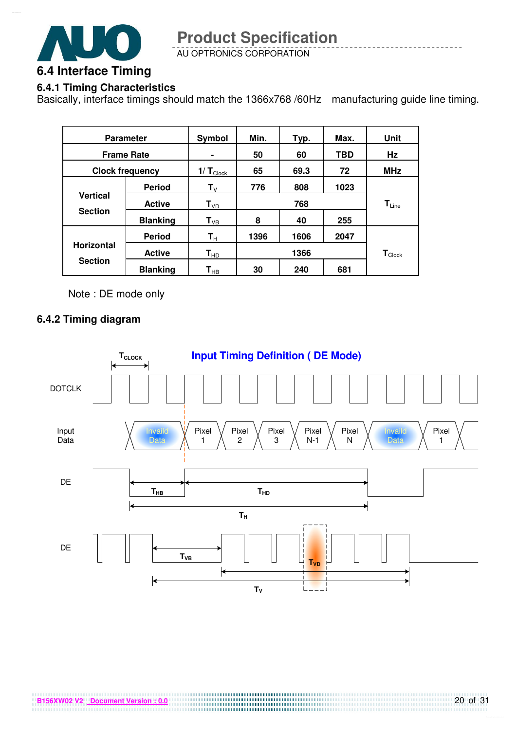

AU OPTRONICS CORPORATION

#### **6.4.1 Timing Characteristics**

Basically, interface timings should match the 1366x768 /60Hz manufacturing guide line timing.

|                   | <b>Parameter</b>       | Symbol                   | Min. | Typ. | Max. | Unit                        |
|-------------------|------------------------|--------------------------|------|------|------|-----------------------------|
|                   | <b>Frame Rate</b>      |                          | 50   | 60   | TBD  | Hz                          |
|                   | <b>Clock frequency</b> | $1/T_{\text{Clock}}$     | 65   | 69.3 | 72   | <b>MHz</b>                  |
|                   | <b>Period</b>          | $\mathbf{T}_{\vee}$      | 776  | 808  | 1023 |                             |
| <b>Vertical</b>   | <b>Active</b>          | T <sub>VD</sub>          |      | 768  |      | $T_{Line}$                  |
| <b>Section</b>    | <b>Blanking</b>        | $\mathsf{T}_{\text{VB}}$ | 8    | 40   | 255  |                             |
|                   | <b>Period</b>          | $\mathsf{T}_\mathsf{H}$  | 1396 | 1606 | 2047 |                             |
| <b>Horizontal</b> | <b>Active</b>          | $T_{HD}$                 |      | 1366 |      | $\mathbf{T}_{\text{Clock}}$ |
| <b>Section</b>    | <b>Blanking</b>        | $\textsf{T}_{\sf HB}$    | 30   | 240  | 681  |                             |

Note : DE mode only

#### **6.4.2 Timing diagram**

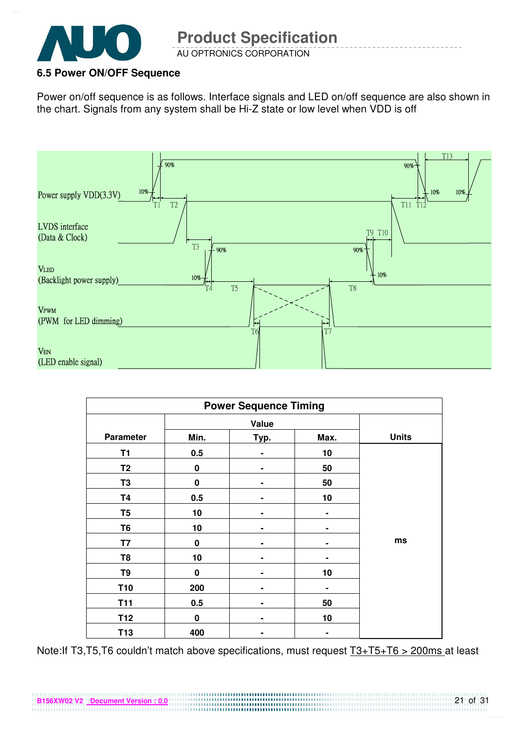

#### **6.5 Power ON/OFF Sequence**

**B156XW02 V2 Document Version : 0.0**

Power on/off sequence is as follows. Interface signals and LED on/off sequence are also shown in the chart. Signals from any system shall be Hi-Z state or low level when VDD is off



| <b>Power Sequence Timing</b> |             |      |      |              |
|------------------------------|-------------|------|------|--------------|
|                              | Value       |      |      |              |
| <b>Parameter</b>             | Min.        | Typ. | Max. | <b>Units</b> |
| T <sub>1</sub>               | 0.5         |      | 10   |              |
| T <sub>2</sub>               | 0           |      | 50   |              |
| T <sub>3</sub>               | $\mathbf 0$ |      | 50   |              |
| T4                           | 0.5         |      | 10   |              |
| T <sub>5</sub>               | 10          | ۰    | ۰    |              |
| T <sub>6</sub>               | 10          |      |      |              |
| T7                           | 0           |      | ۰    | ms           |
| T <sub>8</sub>               | 10          |      |      |              |
| T9                           | $\pmb{0}$   | ۰    | 10   |              |
| <b>T10</b>                   | 200         |      |      |              |
| <b>T11</b>                   | 0.5         |      | 50   |              |
| T <sub>12</sub>              | $\pmb{0}$   | ۰    | 10   |              |
| <b>T13</b>                   | 400         |      |      |              |

Note:If T3,T5,T6 couldn't match above specifications, must request T3+T5+T6 > 200ms at least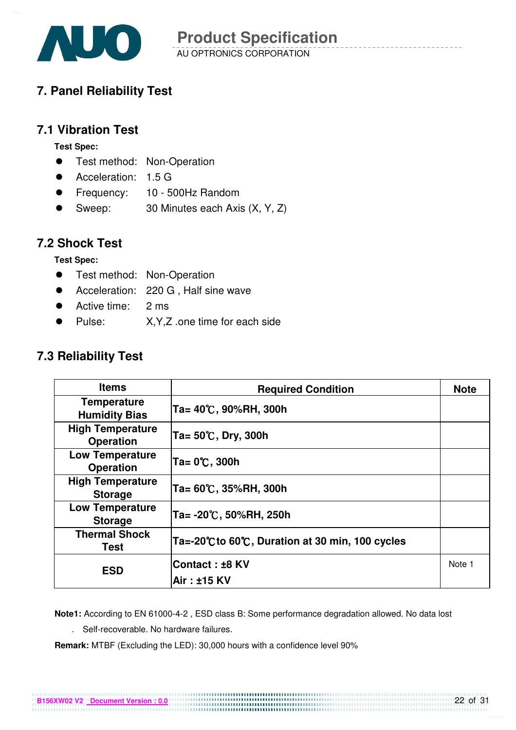

## **7. Panel Reliability Test**

#### **7.1 Vibration Test**

**Test Spec:** 

- **•** Test method: Non-Operation
- Acceleration: 1.5 G
- Frequency: 10 500Hz Random
- Sweep: 30 Minutes each Axis (X, Y, Z)

#### **7.2 Shock Test**

**Test Spec:** 

- **•** Test method: Non-Operation
- Acceleration: 220 G, Half sine wave
- Active time: 2 ms
- Pulse: X,Y,Z .one time for each side

#### **7.3 Reliability Test**

| <b>Items</b>                                | <b>Required Condition</b>                        | <b>Note</b> |
|---------------------------------------------|--------------------------------------------------|-------------|
| <b>Temperature</b><br><b>Humidity Bias</b>  | Ta= 40℃, 90%RH, 300h                             |             |
| <b>High Temperature</b><br><b>Operation</b> | Ta= 50℃, Dry, 300h                               |             |
| <b>Low Temperature</b><br><b>Operation</b>  | Ta= 0℃, 300h                                     |             |
| <b>High Temperature</b><br><b>Storage</b>   | Ta= 60℃, 35%RH, 300h                             |             |
| <b>Low Temperature</b><br><b>Storage</b>    | Ta= -20℃, 50%RH, 250h                            |             |
| <b>Thermal Shock</b><br>Test                | Ta=-20°C to 60°C, Duration at 30 min, 100 cycles |             |
| <b>ESD</b>                                  | <b>Contact : ±8 KV</b>                           | Note 1      |
|                                             | Air: ±15 KV                                      |             |

**Note1:** According to EN 61000-4-2 , ESD class B: Some performance degradation allowed. No data lost

. Self-recoverable. No hardware failures.

**Remark:** MTBF (Excluding the LED): 30,000 hours with a confidence level 90%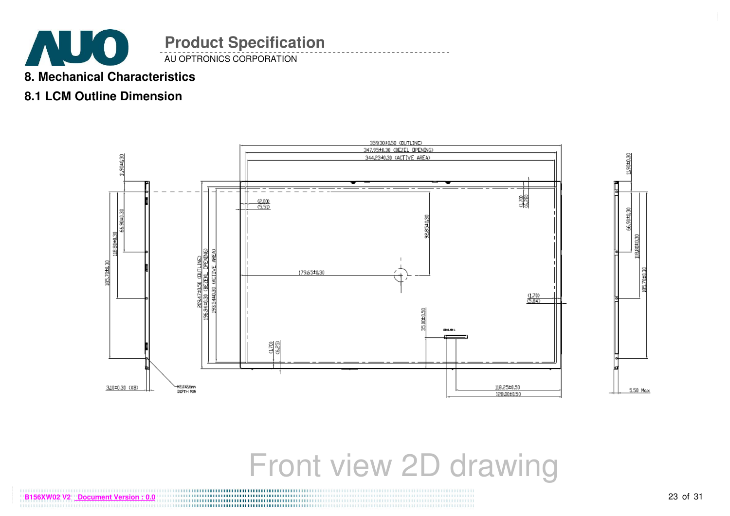

#### **8. Mechanical Characteristics**

## **8.1 LCM Outline Dimension**



# Front view 2D drawing

**02 V2 Document Version : 0.0**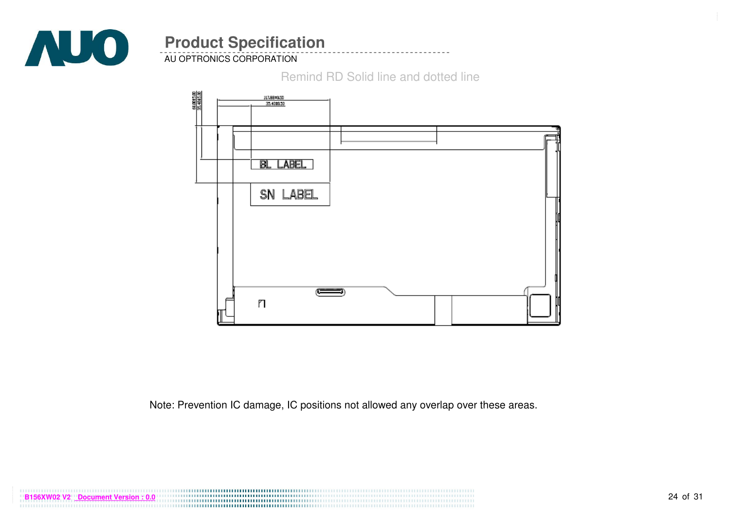

AU OPTRONICS CORPORATION

Remind RD Solid line and dotted line



Note: Prevention IC damage, IC positions not allowed any overlap over these areas.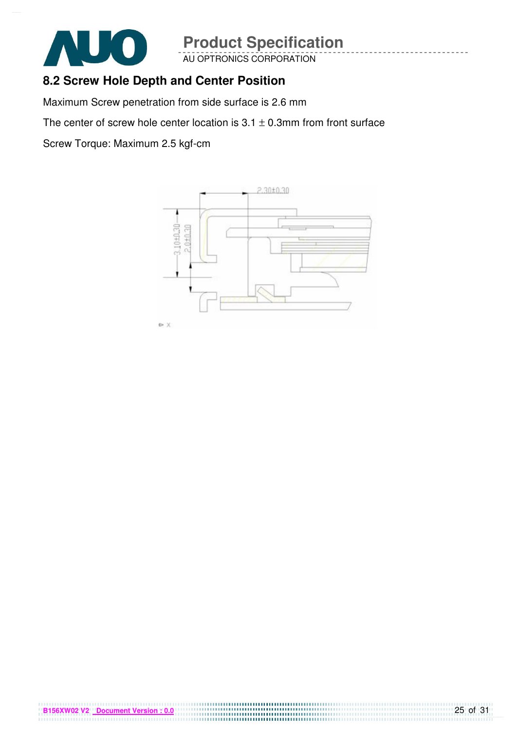

AU OPTRONICS CORPORATION

#### **8.2 Screw Hole Depth and Center Position**

Maximum Screw penetration from side surface is 2.6 mm

The center of screw hole center location is  $3.1 \pm 0.3$ mm from front surface

Screw Torque: Maximum 2.5 kgf-cm

**B156XW02 V2 Document Version : 0.0**

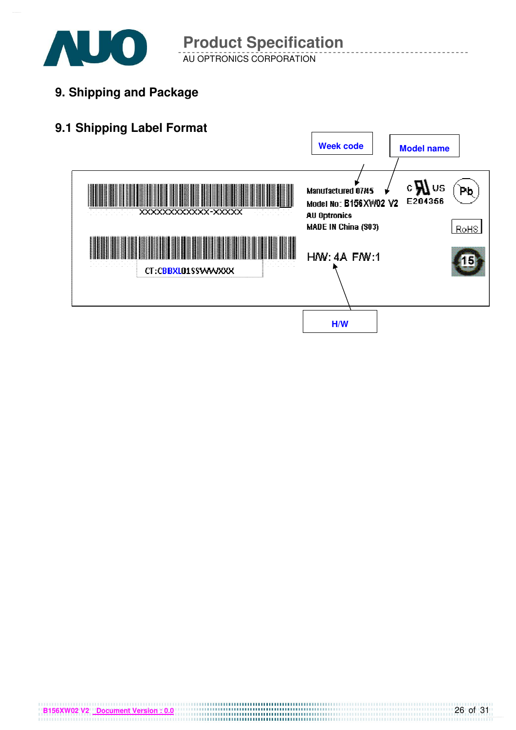

AU OPTRONICS CORPORATION **Product Specification** 

**9. Shipping and Package**

## **9.1 Shipping Label Format**

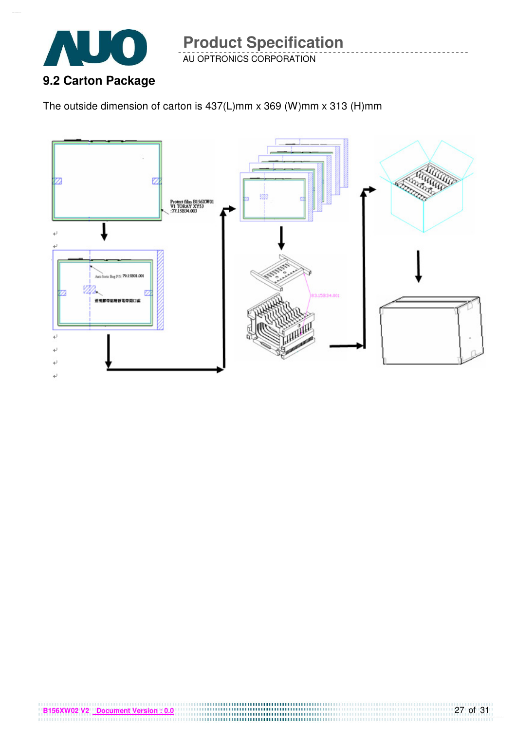

AU OPTRONICS CORPORATION

The outside dimension of carton is 437(L)mm x 369 (W)mm x 313 (H)mm

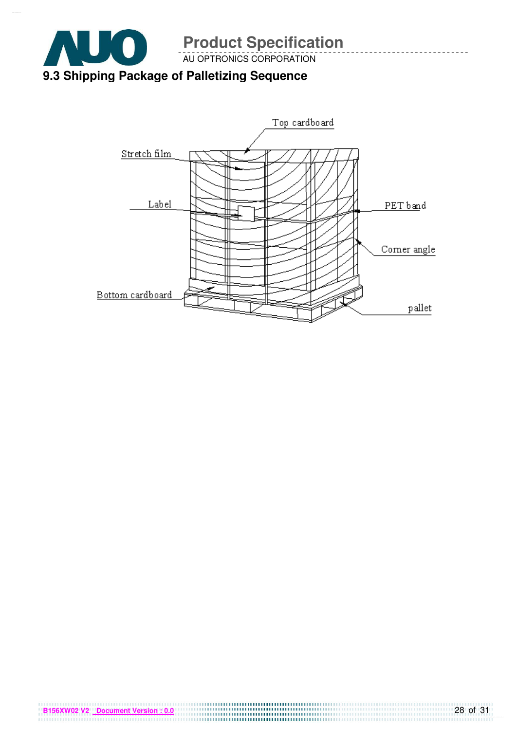



**B156XW02 V2** Document Version : 0.0

28 of 31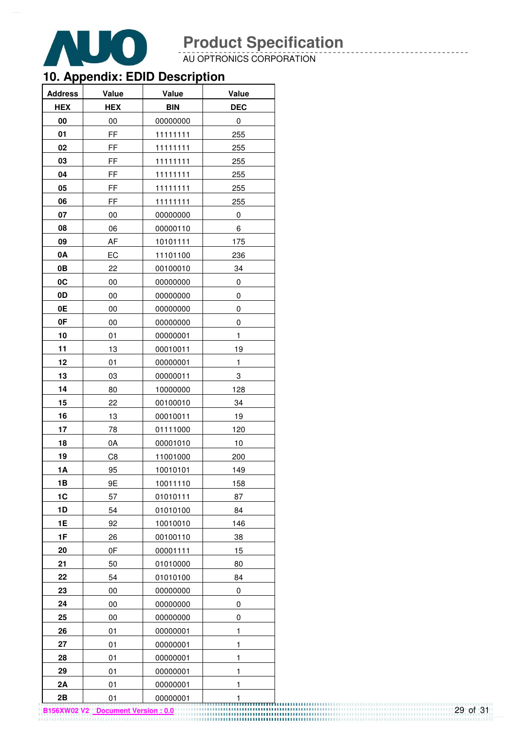

AU OPTRONICS CORPORATION

## **10. Appendix: EDID Description**

| <b>Address</b> | Value      | Value      | Value        |
|----------------|------------|------------|--------------|
| <b>HEX</b>     | <b>HEX</b> | <b>BIN</b> | <b>DEC</b>   |
| 00             | 00         | 00000000   | 0            |
| 01             | FF         | 11111111   | 255          |
| 02             | FF         | 11111111   | 255          |
| 03             | FF         | 11111111   | 255          |
| 04             | FF         | 11111111   | 255          |
| 05             | FF         | 11111111   | 255          |
| 06             | FF         | 11111111   | 255          |
| 07             | $00\,$     | 00000000   | 0            |
| 08             | 06         | 00000110   | 6            |
| 09             | AF         | 10101111   | 175          |
| 0A             | EC         | 11101100   | 236          |
| 0B             | 22         | 00100010   | 34           |
| 0C             | 00         | 00000000   | 0            |
| 0D             | 00         | 00000000   | 0            |
| 0E             | 00         | 00000000   | 0            |
| 0F             | 00         | 00000000   | 0            |
| 10             | 01         | 00000001   | $\mathbf{1}$ |
| 11             | 13         | 00010011   | 19           |
| 12             | 01         | 00000001   | 1            |
| 13             | 03         | 00000011   | 3            |
| 14             | 80         | 10000000   | 128          |
| 15             | 22         | 00100010   | 34           |
| 16             | 13         | 00010011   | 19           |
| 17             | 78         | 01111000   | 120          |
| 18             | 0A         | 00001010   | 10           |
| 19             | C8         | 11001000   | 200          |
| 1A             | 95         | 10010101   | 149          |
| 1B             | 9E         | 10011110   | 158          |
| 1C             | 57         | 01010111   | 87           |
| 1D             | 54         | 01010100   | 84           |
| 1E             | 92         | 10010010   | 146          |
| 1F             | 26         | 00100110   | 38           |
| 20             | 0F         | 00001111   | 15           |
| 21             | 50         | 01010000   | 80           |
| 22             | 54         | 01010100   | 84           |
| 23             | 00         | 00000000   | 0            |
| 24             | 00         | 00000000   | 0            |
| 25             | 00         | 00000000   | 0            |
| 26             | 01         | 00000001   | $\mathbf{1}$ |
| 27             | 01         | 00000001   | 1            |
| 28             | 01         | 00000001   | $\mathbf{1}$ |
| 29             | 01         | 00000001   | 1            |
| 2A             | 01         | 00000001   | 1            |
| 2B             | 01         | 00000001   | 1            |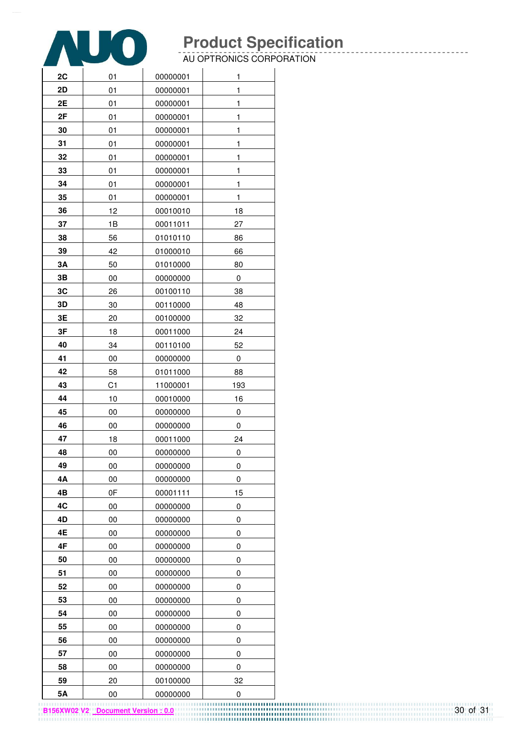

AU OPTRONICS CORPORATION

| 2C | 01     | 00000001 | 1            |
|----|--------|----------|--------------|
| 2D | 01     | 00000001 | 1            |
| 2E | 01     | 00000001 | 1            |
| 2F | 01     | 00000001 | 1            |
| 30 | 01     | 00000001 | 1            |
| 31 | 01     | 00000001 | 1            |
| 32 | 01     | 00000001 | 1            |
| 33 | 01     | 00000001 | 1            |
| 34 | 01     | 00000001 | 1            |
| 35 | 01     | 00000001 | $\mathbf{1}$ |
| 36 | 12     | 00010010 | 18           |
| 37 | 1B     | 00011011 | 27           |
| 38 | 56     | 01010110 | 86           |
| 39 | 42     | 01000010 | 66           |
| 3A | 50     | 01010000 | 80           |
| 3B | $00\,$ | 00000000 | 0            |
| 3C | 26     | 00100110 | 38           |
| 3D | 30     | 00110000 | 48           |
| 3E | 20     | 00100000 | 32           |
| 3F | 18     | 00011000 | 24           |
| 40 | 34     | 00110100 | 52           |
| 41 | 00     | 00000000 | 0            |
| 42 | 58     | 01011000 | 88           |
| 43 | C1     | 11000001 | 193          |
| 44 | 10     | 00010000 | 16           |
| 45 | 00     | 00000000 | 0            |
| 46 | 00     | 00000000 | 0            |
| 47 | 18     | 00011000 | 24           |
| 48 | 00     | 00000000 | 0            |
| 49 | 00     | 00000000 | 0            |
| 4Α | $00\,$ | 00000000 | 0            |
| 4B | 0F     | 00001111 | 15           |
| 4C | 00     | 00000000 | 0            |
| 4D | 00     | 00000000 | 0            |
| 4E | 00     | 00000000 | 0            |
| 4F | 00     | 00000000 | 0            |
| 50 | 00     | 00000000 | 0            |
| 51 | $00\,$ | 00000000 | 0            |
| 52 | 00     | 00000000 | 0            |
| 53 | 00     | 00000000 | 0            |
| 54 | 00     | 00000000 | 0            |
| 55 | 00     | 00000000 | 0            |
| 56 | 00     | 00000000 | 0            |
| 57 | 00     | 00000000 | 0            |
| 58 | 00     | 00000000 | 0            |
| 59 | 20     | 00100000 | 32           |
| 5A | 00     | 00000000 | 0            |

**B156XW02 V2 Document Version : 0.0**

30 of 31